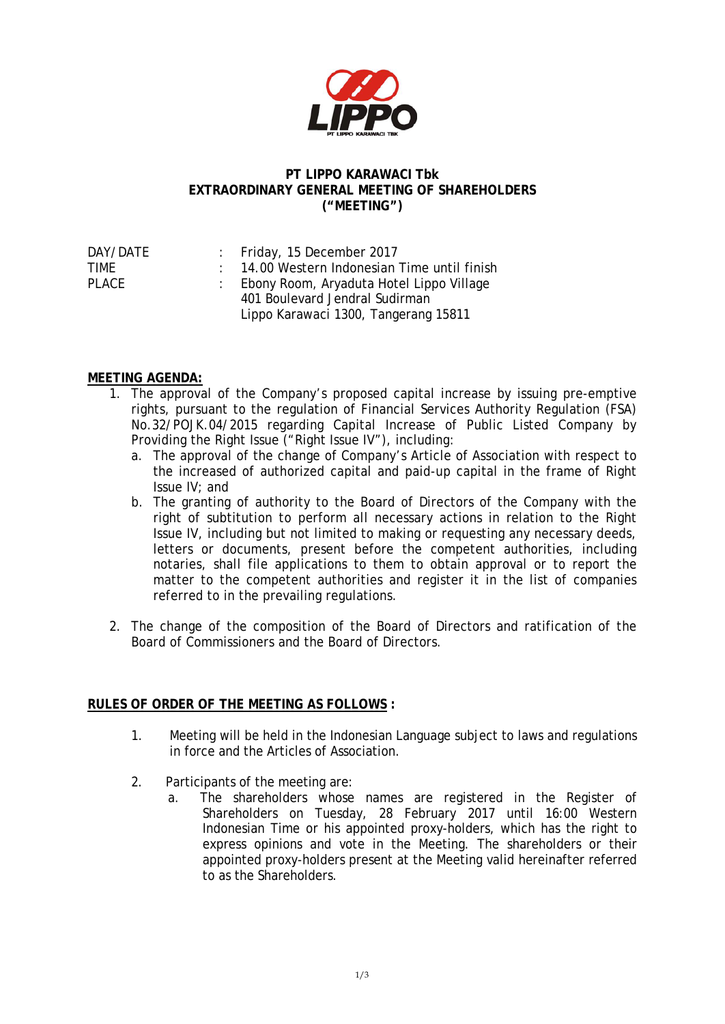

## **PT LIPPO KARAWACI Tbk EXTRAORDINARY GENERAL MEETING OF SHAREHOLDERS ("MEETING")**

| DAY/DATE | : Friday, 15 December 2017                   |
|----------|----------------------------------------------|
| TIMF     | : 14.00 Western Indonesian Time until finish |
| PLACE    | : Ebony Room, Aryaduta Hotel Lippo Village   |
|          | 401 Boulevard Jendral Sudirman               |
|          | Lippo Karawaci 1300, Tangerang 15811         |

## **MEETING AGENDA:**

- 1. The approval of the Company's proposed capital increase by issuing pre-emptive rights, pursuant to the regulation of Financial Services Authority Regulation (FSA) No.32/POJK.04/2015 regarding Capital Increase of Public Listed Company by Providing the Right Issue ("Right Issue IV"), including:
	- a. The approval of the change of Company's Article of Association with respect to the increased of authorized capital and paid-up capital in the frame of Right Issue IV; and
	- b. The granting of authority to the Board of Directors of the Company with the right of subtitution to perform all necessary actions in relation to the Right Issue IV, including but not limited to making or requesting any necessary deeds, letters or documents, present before the competent authorities, including notaries, shall file applications to them to obtain approval or to report the matter to the competent authorities and register it in the list of companies referred to in the prevailing regulations.
- 2. The change of the composition of the Board of Directors and ratification of the Board of Commissioners and the Board of Directors.

## **RULES OF ORDER OF THE MEETING AS FOLLOWS :**

- 1. Meeting will be held in the Indonesian Language subject to laws and regulations in force and the Articles of Association.
- 2. Participants of the meeting are:
	- a. The shareholders whose names are registered in the Register of Shareholders on Tuesday, 28 February 2017 until 16:00 Western Indonesian Time or his appointed proxy-holders, which has the right to express opinions and vote in the Meeting. The shareholders or their appointed proxy-holders present at the Meeting valid hereinafter referred to as the Shareholders.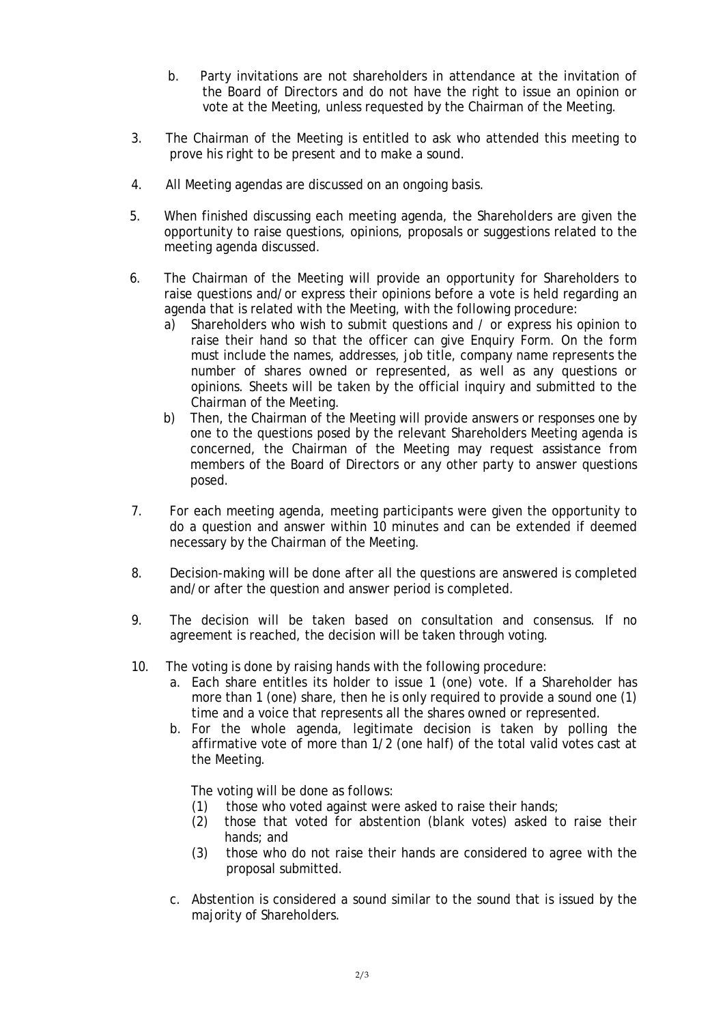- b. Party invitations are not shareholders in attendance at the invitation of the Board of Directors and do not have the right to issue an opinion or vote at the Meeting, unless requested by the Chairman of the Meeting.
- 3. The Chairman of the Meeting is entitled to ask who attended this meeting to prove his right to be present and to make a sound.
- 4. All Meeting agendas are discussed on an ongoing basis.
- 5. When finished discussing each meeting agenda, the Shareholders are given the opportunity to raise questions, opinions, proposals or suggestions related to the meeting agenda discussed.
- 6. The Chairman of the Meeting will provide an opportunity for Shareholders to raise questions and/or express their opinions before a vote is held regarding an agenda that is related with the Meeting, with the following procedure:
	- a) Shareholders who wish to submit questions and / or express his opinion to raise their hand so that the officer can give Enquiry Form. On the form must include the names, addresses, job title, company name represents the number of shares owned or represented, as well as any questions or opinions. Sheets will be taken by the official inquiry and submitted to the Chairman of the Meeting.
	- b) Then, the Chairman of the Meeting will provide answers or responses one by one to the questions posed by the relevant Shareholders Meeting agenda is concerned, the Chairman of the Meeting may request assistance from members of the Board of Directors or any other party to answer questions posed.
- 7. For each meeting agenda, meeting participants were given the opportunity to do a question and answer within 10 minutes and can be extended if deemed necessary by the Chairman of the Meeting.
- 8. Decision-making will be done after all the questions are answered is completed and/or after the question and answer period is completed.
- 9. The decision will be taken based on consultation and consensus. If no agreement is reached, the decision will be taken through voting.
- 10. The voting is done by raising hands with the following procedure:
	- a. Each share entitles its holder to issue 1 (one) vote. If a Shareholder has more than 1 (one) share, then he is only required to provide a sound one (1) time and a voice that represents all the shares owned or represented.
	- b. For the whole agenda, legitimate decision is taken by polling the affirmative vote of more than 1/2 (one half) of the total valid votes cast at the Meeting.

The voting will be done as follows:

- (1) those who voted against were asked to raise their hands;
- (2) those that voted for abstention (blank votes) asked to raise their hands; and
- (3) those who do not raise their hands are considered to agree with the proposal submitted.
- c. Abstention is considered a sound similar to the sound that is issued by the majority of Shareholders.